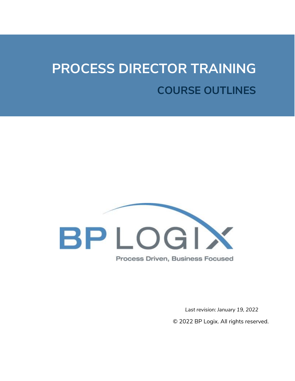# **PROCESS DIRECTOR TRAINING COURSE OUTLINES**



Process Driven, Business Focused

*Last revision: January 19, 2022*

© 2022 BP Logix. All rights reserved.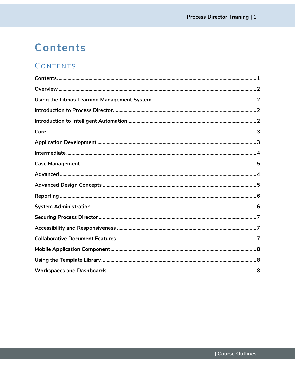### <span id="page-1-0"></span>Contents

### CONTENTS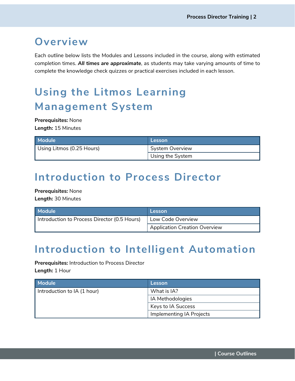### <span id="page-2-0"></span>**Overview**

Each outline below lists the Modules and Lessons included in the course, along with estimated completion times. *All times are approximate*, as students may take varying amounts of time to complete the knowledge check quizzes or practical exercises included in each lesson.

## <span id="page-2-1"></span>**Using the Litmos Learning Management System**

**Prerequisites:** None **Length:** 15 Minutes

| <b>Module</b>             | Lesson                 |
|---------------------------|------------------------|
| Using Litmos (0.25 Hours) | <b>System Overview</b> |
|                           | Using the System       |

### <span id="page-2-2"></span>**Introduction to Process Director**

**Prerequisites:** None **Length:** 30 Minutes

| Module <b>\</b>                              | Lesson                        |
|----------------------------------------------|-------------------------------|
| Introduction to Process Director (0.5 Hours) | Low Code Overview             |
|                                              | Application Creation Overview |

### <span id="page-2-3"></span>**Introduction to Intelligent Automation**

**Prerequisites:** Introduction to Process Director **Length:** 1 Hour

| Module                      | Lesson                   |
|-----------------------------|--------------------------|
| Introduction to IA (1 hour) | What is IA?              |
|                             | IA Methodologies         |
|                             | Keys to IA Success       |
|                             | Implementing IA Projects |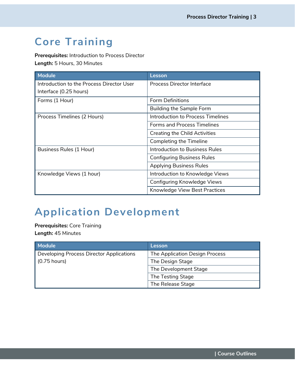### <span id="page-3-0"></span>**Core Training**

**Prerequisites:** Introduction to Process Director **Length:** 5 Hours, 30 Minutes

| <b>Module</b>                             | Lesson                               |
|-------------------------------------------|--------------------------------------|
| Introduction to the Process Director User | <b>Process Director Interface</b>    |
| Interface (0.25 hours)                    |                                      |
| Forms (1 Hour)                            | <b>Form Definitions</b>              |
|                                           | <b>Building the Sample Form</b>      |
| Process Timelines (2 Hours)               | Introduction to Process Timelines    |
|                                           | <b>Forms and Process Timelines</b>   |
|                                           | <b>Creating the Child Activities</b> |
|                                           | Completing the Timeline              |
| Business Rules (1 Hour)                   | Introduction to Business Rules       |
|                                           | <b>Configuring Business Rules</b>    |
|                                           | <b>Applying Business Rules</b>       |
| Knowledge Views (1 hour)                  | Introduction to Knowledge Views      |
|                                           | Configuring Knowledge Views          |
|                                           | Knowledge View Best Practices        |

### <span id="page-3-1"></span>**Application Development**

**Prerequisites:** Core Training **Length:** 45 Minutes

| <b>Module</b>                                   | Lesson                         |
|-------------------------------------------------|--------------------------------|
| <b>Developing Process Director Applications</b> | The Application Design Process |
| $(0.75$ hours)                                  | The Design Stage               |
|                                                 | The Development Stage          |
|                                                 | The Testing Stage              |
|                                                 | The Release Stage              |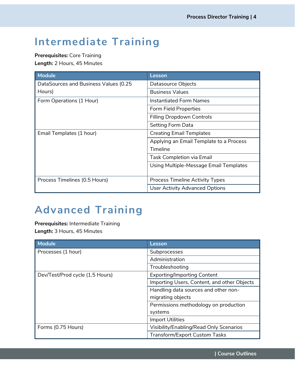### <span id="page-4-0"></span>**Intermediate Training**

**Prerequisites:** Core Training **Length:** 2 Hours, 45 Minutes

| <b>Module</b>                         | Lesson                                  |
|---------------------------------------|-----------------------------------------|
| DataSources and Business Values (0.25 | Datasource Objects                      |
| Hours)                                | <b>Business Values</b>                  |
| Form Operations (1 Hour)              | Instantiated Form Names                 |
|                                       | Form Field Properties                   |
|                                       | <b>Filling Dropdown Controls</b>        |
|                                       | Setting Form Data                       |
| Email Templates (1 hour)              | <b>Creating Email Templates</b>         |
|                                       | Applying an Email Template to a Process |
|                                       | Timeline                                |
|                                       | <b>Task Completion via Email</b>        |
|                                       | Using Multiple-Message Email Templates  |
|                                       |                                         |
| Process Timelines (0.5 Hours)         | Process Timeline Activity Types         |
|                                       | <b>User Activity Advanced Options</b>   |

### <span id="page-4-1"></span>**Advanced Training**

**Prerequisites:** Intermediate Training **Length:** 3 Hours, 45 Minutes

| <b>Module</b>                   | Lesson                                      |
|---------------------------------|---------------------------------------------|
| Processes (1 hour)              | Subprocesses                                |
|                                 | Administration                              |
|                                 | Troubleshooting                             |
| Dev/Test/Prod cycle (1.5 Hours) | <b>Exporting/Importing Content</b>          |
|                                 | Importing Users, Content, and other Objects |
|                                 | Handling data sources and other non-        |
|                                 | migrating objects                           |
|                                 | Permissions methodology on production       |
|                                 | systems                                     |
|                                 | <b>Import Utilities</b>                     |
| Forms (0.75 Hours)              | Visibility/Enabling/Read Only Scenarios     |
|                                 | <b>Transform/Export Custom Tasks</b>        |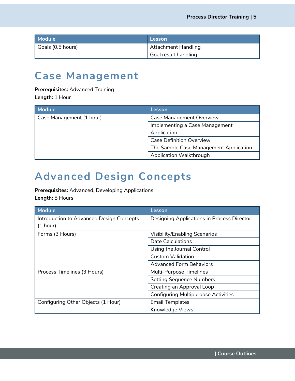| Module            | Lesson               |
|-------------------|----------------------|
| Goals (0.5 hours) | Attachment Handling  |
|                   | Goal result handling |

### <span id="page-5-0"></span>**Case Management**

#### **Prerequisites:** Advanced Training

**Length:** 1 Hour

| <b>Module</b>            | Lesson                                 |
|--------------------------|----------------------------------------|
| Case Management (1 hour) | Case Management Overview               |
|                          | Implementing a Case Management         |
|                          | Application                            |
|                          | <b>Case Definition Overview</b>        |
|                          | The Sample Case Management Application |
|                          | Application Walkthrough                |

### **Advanced Design Concepts**

**Prerequisites:** Advanced, Developing Applications **Length:** 8 Hours

| <b>Module</b>                            | Lesson                                     |
|------------------------------------------|--------------------------------------------|
| Introduction to Advanced Design Concepts | Designing Applications in Process Director |
| (1 hour)                                 |                                            |
| Forms (3 Hours)                          | <b>Visibility/Enabling Scenarios</b>       |
|                                          | <b>Date Calculations</b>                   |
|                                          | Using the Journal Control                  |
|                                          | <b>Custom Validation</b>                   |
|                                          | <b>Advanced Form Behaviors</b>             |
| Process Timelines (3 Hours)              | Multi-Purpose Timelines                    |
|                                          | <b>Setting Sequence Numbers</b>            |
|                                          | Creating an Approval Loop                  |
|                                          | <b>Configuring Multipurpose Activities</b> |
| Configuring Other Objects (1 Hour)       | <b>Email Templates</b>                     |
|                                          | Knowledge Views                            |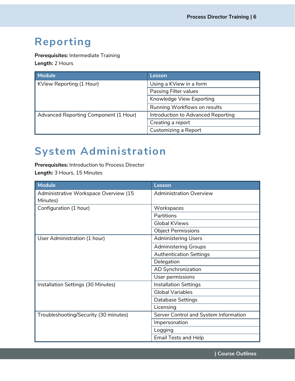### <span id="page-6-0"></span>**Reporting**

**Prerequisites:** Intermediate Training **Length:** 2 Hours

| <b>Module</b>                         | Lesson                             |
|---------------------------------------|------------------------------------|
| KView Reporting (1 Hour)              | Using a KView in a form            |
|                                       | <b>Passing Filter values</b>       |
|                                       | Knowledge View Exporting           |
|                                       | Running Workflows on results       |
| Advanced Reporting Component (1 Hour) | Introduction to Advanced Reporting |
|                                       | Creating a report                  |
|                                       | Customizing a Report               |

### <span id="page-6-1"></span>**System Administration**

**Prerequisites:** Introduction to Process Director **Length:** 3 Hours, 15 Minutes

| Module                                | Lesson                                |
|---------------------------------------|---------------------------------------|
| Administrative Workspace Overview (15 | <b>Administration Overview</b>        |
| Minutes)                              |                                       |
| Configuration (1 hour)                | Workspaces                            |
|                                       | Partitions                            |
|                                       | <b>Global KViews</b>                  |
|                                       | <b>Object Permissions</b>             |
| User Administration (1 hour)          | <b>Administering Users</b>            |
|                                       | <b>Administering Groups</b>           |
|                                       | <b>Authentication Settings</b>        |
|                                       | Delegation                            |
|                                       | AD Synchronization                    |
|                                       | User permissions                      |
| Installation Settings (30 Minutes)    | <b>Installation Settings</b>          |
|                                       | <b>Global Variables</b>               |
|                                       | Database Settings                     |
|                                       | Licensing                             |
| Troubleshooting/Security (30 minutes) | Server Control and System Information |
|                                       | Impersonation                         |
|                                       | Logging                               |
|                                       | <b>Email Tests and Help</b>           |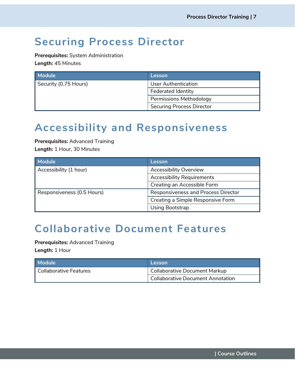### <span id="page-7-0"></span>**Securing Process Director**

**Prerequisites:** System Administration **Length:** 45 Minutes

| <b>Module</b>         | Lesson                           |
|-----------------------|----------------------------------|
| Security (0.75 Hours) | <b>User Authentication</b>       |
|                       | <b>Federated Identity</b>        |
|                       | <b>Permissions Methodology</b>   |
|                       | <b>Securing Process Director</b> |

### <span id="page-7-1"></span>**Accessibility and Responsiveness**

**Prerequisites:** Advanced Training **Length:** 1 Hour, 30 Minutes

| <b>Module</b>              | Lesson                              |
|----------------------------|-------------------------------------|
| Accessibility (1 hour)     | <b>Accessibility Overview</b>       |
|                            | <b>Accessibility Requirements</b>   |
|                            | Creating an Accessible Form         |
| Responsiveness (0.5 Hours) | Responsiveness and Process Director |
|                            | Creating a Simple Responsive Form   |
|                            | Using Bootstrap                     |

### <span id="page-7-2"></span>**Collaborative Document Features**

**Prerequisites:** Advanced Training

**Length:** 1 Hour

<span id="page-7-3"></span>

| <b>Module</b>            | <b>Lesson</b>                            |
|--------------------------|------------------------------------------|
| l Collaborative Features | Collaborative Document Markup            |
|                          | <b>Collaborative Document Annotation</b> |